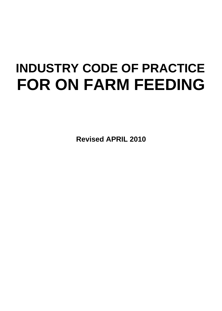# **INDUSTRY CODE OF PRACTICE FOR ON FARM FEEDING**

**Revised APRIL 2010**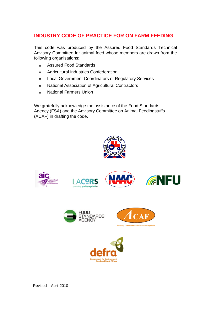# **INDUSTRY CODE OF PRACTICE FOR ON FARM FEEDING**

This code was produced by the Assured Food Standards Technical Advisory Committee for animal feed whose members are drawn from the following organisations:

- n Assured Food Standards
- n Agricultural Industries Confederation
- n Local Government Coordinators of Regulatory Services
- n National Association of Agricultural Contractors
- n National Farmers Union

We gratefully acknowledge the assistance of the Food Standards Agency (FSA) and the Advisory Committee on Animal Feedingstuffs (ACAF) in drafting the code.

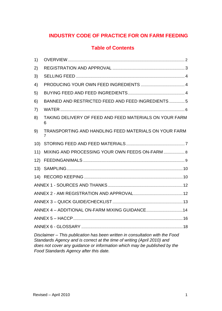# **INDUSTRY CODE OF PRACTICE FOR ON FARM FEEDING**

## **Table of Contents**

| 1)                                                                                                                                                                                                                                  |                                                              |  |  |
|-------------------------------------------------------------------------------------------------------------------------------------------------------------------------------------------------------------------------------------|--------------------------------------------------------------|--|--|
| 2)                                                                                                                                                                                                                                  |                                                              |  |  |
| 3)                                                                                                                                                                                                                                  |                                                              |  |  |
| 4)                                                                                                                                                                                                                                  |                                                              |  |  |
| 5)                                                                                                                                                                                                                                  |                                                              |  |  |
| 6)                                                                                                                                                                                                                                  | BANNED AND RESTRICTED FEED AND FEED INGREDIENTS  5           |  |  |
| 7)                                                                                                                                                                                                                                  |                                                              |  |  |
| 8)                                                                                                                                                                                                                                  | TAKING DELIVERY OF FEED AND FEED MATERIALS ON YOUR FARM<br>6 |  |  |
| 9)                                                                                                                                                                                                                                  | TRANSPORTING AND HANDLING FEED MATERIALS ON YOUR FARM<br>7   |  |  |
|                                                                                                                                                                                                                                     |                                                              |  |  |
| 11)                                                                                                                                                                                                                                 |                                                              |  |  |
|                                                                                                                                                                                                                                     |                                                              |  |  |
|                                                                                                                                                                                                                                     |                                                              |  |  |
|                                                                                                                                                                                                                                     |                                                              |  |  |
|                                                                                                                                                                                                                                     |                                                              |  |  |
|                                                                                                                                                                                                                                     |                                                              |  |  |
|                                                                                                                                                                                                                                     |                                                              |  |  |
|                                                                                                                                                                                                                                     |                                                              |  |  |
|                                                                                                                                                                                                                                     | ANNEX 5 - HACCP.                                             |  |  |
|                                                                                                                                                                                                                                     | 18                                                           |  |  |
| Disclaimer – This publication has been written in consultation with the Food<br>Standards Agency and is correct at the time of writing (April 2010) and<br>does not cover any guidance or information which may be published by the |                                                              |  |  |

*Food Standards Agency after this date.*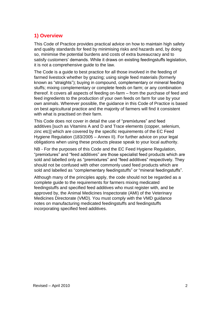## **1) Overview**

This Code of Practice provides practical advice on how to maintain high safety and quality standards for feed by minimising risks and hazards and, by doing so, minimise the potential burdens and costs of extra bureaucracy and to satisfy customers' demands. While it draws on existing feedingstuffs legislation, it is not a comprehensive guide to the law.

The Code is a guide to best practice for all those involved in the feeding of farmed livestock whether by grazing; using single feed materials (formerly known as "straights"); buying in compound, complementary or mineral feeding stuffs; mixing complementary or complete feeds on farm; or any combination thereof. It covers all aspects of feeding on-farm – from the purchase of feed and feed ingredients to the production of your own feeds on farm for use by your own animals. Wherever possible, the guidance in this Code of Practice is based on best agricultural practice and the majority of farmers will find it consistent with what is practised on their farm.

This Code does not cover in detail the use of "premixtures" and feed additives [such as Vitamins A and D and Trace elements (copper, selenium, zinc etc)] which are covered by the specific requirements of the EC Feed Hygiene Regulation (183/2005 – Annex II). For further advice on your legal obligations when using these products please speak to your local authority.

NB - For the purposes of this Code and the EC Feed Hygiene Regulation, "premixtures" and "feed additives" are those specialist feed products which are sold and labelled only as "premixtures" and "feed additives" respectively. They should not be confused with other commonly used feed products which are sold and labelled as "complementary feedingstuffs" or "mineral feedingstuffs".

Although many of the principles apply, the code should not be regarded as a complete guide to the requirements for farmers mixing medicated feedingstuffs and specified feed additives who must register with, and be approved by, the Animal Medicines Inspectorate (AMI) of the Veterinary Medicines Directorate (VMD). You must comply with the VMD guidance notes on manufacturing medicated feedingstuffs and feedingstuffs incorporating specified feed additives.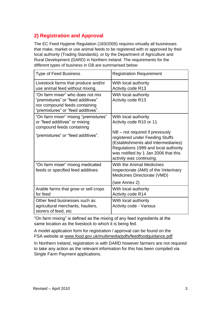# **2) Registration and Approval**

The EC Feed Hygiene Regulation (183/2005) requires virtually all businesses that make, market or use animal feeds to be registered with or approved by their local authority (Trading Standards), or by the Department of Agriculture and Rural Development (DARD) in Northern Ireland. The requirements for the different types of business in GB are summarised below:

| <b>Type of Feed Business</b>                                                                                                                 | <b>Registration Requirement</b>                                                                                                                                                                                                                                            |
|----------------------------------------------------------------------------------------------------------------------------------------------|----------------------------------------------------------------------------------------------------------------------------------------------------------------------------------------------------------------------------------------------------------------------------|
| Livestock farms that produce and/or<br>use animal feed without mixing.                                                                       | With local authority<br>Activity code R13                                                                                                                                                                                                                                  |
| "On farm mixer" who does not mix<br>"premixtures" or "feed additives"<br>nor compound feeds containing<br>"premixtures" or "feed additives". | With local authority<br><b>Activity code R13</b>                                                                                                                                                                                                                           |
| "On farm mixer" mixing "premixtures"<br>or "feed additives" or mixing<br>compound feeds containing<br>"premixtures" or "feed additives".     | With local authority<br>Activity code R10 or 11<br>$NB - not required$ if previously<br>registered under Feeding Stuffs<br>(Establishments abd Intermediaries)<br>Regulations 1999 and local authority<br>was notified by 1 Jan 2006 that this<br>activity was continuing. |
| "On farm mixer" mixing medicated<br>feeds or specified feed additives                                                                        | With the Animal Medicines<br>Inspectorate (AMI) of the Veterinary<br>Medicines Directorate (VMD)<br>(see Annex 2)                                                                                                                                                          |
| Arable farms that grow or sell crops<br>for feed                                                                                             | With local authority<br><b>Activity code R14</b>                                                                                                                                                                                                                           |
| Other feed businesses such as<br>agricultural merchants, hauliers,<br>storers of feed, etc                                                   | With local authority<br>Activity code - Various                                                                                                                                                                                                                            |

"On farm mixing" is defined as the mixing of any feed ingredients at the same location as the livestock to which it is being fed.

A model application form for registration / approval can be found on the FSA website at www.food.gov.uk/multimedia/pdfs/feedfoodguidance.pdf

In Northern Ireland, registration is with DARD however farmers are not required to take any action as the relevant information for this has been compiled via Single Farm Payment applications.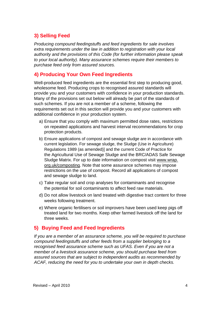## **3) Selling Feed**

*Producing compound feedingstuffs and feed ingredients for sale involves extra requirements under the law in addition to registration with your local authority and the provisions of this Code (for further information please speak to your local authority). Many assurance schemes require their members to purchase feed only from assured sources.*

#### **4) Producing Your Own Feed Ingredients**

Well-produced feed ingredients are the essential first step to producing good, wholesome feed. Producing crops to recognised assured standards will provide you and your customers with confidence in your production standards. Many of the provisions set out below will already be part of the standards of such schemes. If you are not a member of a scheme, following the requirements set out in this section will provide you and your customers with additional confidence in your production system.

- a) Ensure that you comply with maximum permitted dose rates, restrictions on repeated applications and harvest interval recommendations for crop protection products.
- b) Ensure applications of compost and sewage sludge are in accordance with current legislation. For sewage sludge, the Sludge (Use in Agriculture) Regulations 1989 (as amended)] and the current Code of Practice for the Agricultural Use of Sewage Sludge and the BRC/ADAS Safe Sewage Sludge Matrix. For up to date information on compost visit www.wrap. org.uk/composting. Note that some assurance schemes may impose restrictions on the use of compost. Record all applications of compost and sewage sludge to land.
- c) Take regular soil and crop analyses for contaminants and recognise the potential for soil contaminants to affect feed raw materials.
- d) Do not allow livestock on land treated with digestive tract content for three weeks following treatment.
- e) Where organic fertilisers or soil improvers have been used keep pigs off treated land for two months. Keep other farmed livestock off the land for three weeks.

## **5) Buying Feed and Feed Ingredients**

*If you are a member of an assurance scheme, you will be required to purchase compound feedingstuffs and other feeds from a supplier belonging to a recognised feed assurance scheme such as UFAS. Even if you are not a member of a livestock assurance scheme, you should purchase feed from assured sources that are subject to independent audits as recommended by ACAF, reducing the need for you to undertake your own in depth checks.*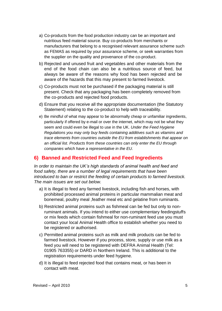- a) Co-products from the food production industry can be an important and nutritious feed material source. Buy co-products from merchants or manufacturers that belong to a recognised relevant assurance scheme such as FEMAS as required by your assurance scheme, or seek warranties from the supplier on the quality and provenance of the co-product.
- b) Rejected and unused fruit and vegetables and other materials from the end of the food chain can also be a nutritious source of feed, but always be aware of the reasons why food has been rejected and be aware of the hazards that this may present to farmed livestock.
- c) Co-products must not be purchased if the packaging material is still present. Check that any packaging has been completely removed from the co-products and rejected food products.
- d) Ensure that you receive all the appropriate documentation (the Statutory Statement) relating to the co-product to help with traceability.
- e) Be mindful of what may appear to be abnormally cheap or unfamiliar ingredients, particularly if offered by e-mail or over the internet, which may not be what they seem and could even be illegal to use in the UK. *Under the Feed Hygiene Regulations you may only buy feeds containing additives such as vitamins and trace elements from countries outside the EU from establishments that appear on an official list. Products from these countries can only enter the EU through companies which have a representative in the EU*.

## **6) Banned and Restricted Feed and Feed Ingredients**

*In order to maintain the UK's high standards of animal health and feed and food safety, there are a number of legal requirements that have been introduced to ban or restrict the feeding of certain products to farmed livestock. The main issues are set out below.*

- a) It is illegal to feed any farmed livestock, including fish and horses, with prohibited processed animal proteins in particular mammalian meat and bonemeal, poultry meal ,feather meal etc and gelatine from ruminants.
- b) Restricted animal proteins such as fishmeal can be fed but only to nonruminant animals. If you intend to either use complementary feedingstuffs or mix feeds which contain fishmeal for non-ruminant feed use you must contact your local Animal Health office to establish whether you need to be registered or authorised.
- c) Permitted animal proteins such as milk and milk products can be fed to farmed livestock. However if you process, store, supply or use milk as a feed you will need to be registered with DEFRA Animal Health (Tel: 01905 763355) or DARD in Northern Ireland. This is additional to the registration requirements under feed hygiene.
- d) It is illegal to feed rejected food that contains meat, or has been in contact with meat.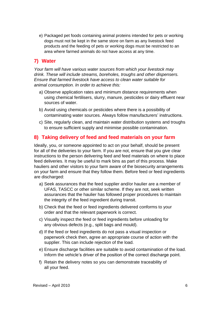e) Packaged pet foods containing animal proteins intended for pets or working dogs must not be kept in the same store on farm as any livestock feed products and the feeding of pets or working dogs must be restricted to an area where farmed animals do not have access at any time.

## **7) Water**

*Your farm will have various water sources from which your livestock may drink. These will include streams, boreholes, troughs and other dispensers. Ensure that farmed livestock have access to clean water suitable for animal consumption. In order to achieve this:*

- a) Observe application rates and minimum distance requirements when using chemical fertilisers, slurry, manure, pesticides or dairy effluent near sources of water.
- b) Avoid using chemicals or pesticides where there is a possibility of contaminating water sources. Always follow manufacturers' instructions.
- c) Site, regularly clean, and maintain water distribution systems and troughs to ensure sufficient supply and minimise possible contamination.

## **8) Taking delivery of feed and feed materials on your farm**

Ideally, you, or someone appointed to act on your behalf, should be present for all of the deliveries to your farm. If you are not, ensure that you give clear instructions to the person delivering feed and feed materials on where to place feed deliveries. It may be useful to mark bins as part of this process. Make hauliers and other visitors to your farm aware of the biosecurity arrangements on your farm and ensure that they follow them. Before feed or feed ingredients are discharged:

- a) Seek assurances that the feed supplier and/or haulier are a member of UFAS, TASCC or other similar scheme. If they are not, seek written assurances that the haulier has followed proper procedures to maintain the integrity of the feed ingredient during transit.
- b) Check that the feed or feed ingredients delivered conforms to your order and that the relevant paperwork is correct.
- c) Visually inspect the feed or feed ingredients before unloading for any obvious defects (e.g., split bags and mould).
- d) If the feed or feed ingredients do not pass a visual inspection or paperwork check then, agree an appropriate course of action with the supplier. This can include rejection of the load.
- e) Ensure discharge facilities are suitable to avoid contamination of the load. Inform the vehicle's driver of the position of the correct discharge point.
- f) Retain the delivery notes so you can demonstrate traceability of all your feed.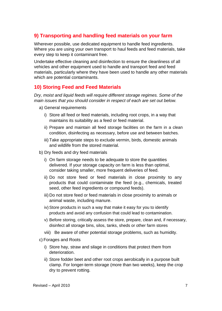## **9) Transporting and handling feed materials on your farm**

Wherever possible, use dedicated equipment to handle feed ingredients. Where you are using your own transport to haul feeds and feed materials, take every step to keep it contaminant free.

Undertake effective cleaning and disinfection to ensure the cleanliness of all vehicles and other equipment used to handle and transport feed and feed materials, particularly where they have been used to handle any other materials which are potential contaminants.

## **10) Storing Feed and Feed Materials**

*Dry, moist and liquid feeds will require different storage regimes. Some of the main issues that you should consider in respect of each are set out below.*

- a) General requirements
	- i) Store all feed or feed materials, including root crops, in a way that maintains its suitability as a feed or feed material.
	- ii) Prepare and maintain all feed storage facilities on the farm in a clean condition, disinfecting as necessary, before use and between batches.
	- iii) Take appropriate steps to exclude vermin, birds, domestic animals and wildlife from the stored material.
- b) Dry feeds and dry feed materials
	- i) On farm storage needs to be adequate to store the quantities delivered. If your storage capacity on farm is less than optimal, consider taking smaller, more frequent deliveries of feed.
	- ii) Do not store feed or feed materials in close proximity to any products that could contaminate the feed (e.g., chemicals, treated seed, other feed ingredients or compound feeds).
	- iii) Do not store feed or feed materials in close proximity to animals or animal waste, including manure.
	- iv) Store products in such a way that make it easy for you to identify products and avoid any confusion that could lead to contamination.
	- v) Before storing, critically assess the store, prepare, clean and, if necessary, disinfect all storage bins, silos, tanks, sheds or other farm stores
	- viii) Be aware of other potential storage problems, such as humidity.
- c) Forages and Roots
	- i) Store hay, straw and silage in conditions that protect them from deterioration.
	- ii) Store fodder beet and other root crops aerobically in a purpose built clamp. For longer-term storage (more than two weeks), keep the crop dry to prevent rotting.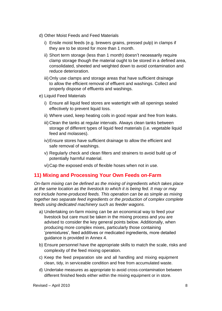- d) Other Moist Feeds and Feed Materials
	- i) Ensile moist feeds (e.g. brewers grains, pressed pulp) in clamps if they are to be stored for more than 1 month.
	- ii) Short term storage (less than 1 month) doesn't necessarily require clamp storage though the material ought to be stored in a defined area, consolidated, sheeted and weighted down to avoid contamination and reduce deterioration.
	- iii) Only use clamps and storage areas that have sufficient drainage to allow the efficient removal of effluent and washings. Collect and properly dispose of effluents and washings.
- e) Liquid Feed Materials
	- i) Ensure all liquid feed stores are watertight with all openings sealed effectively to prevent liquid loss.
	- ii) Where used, keep heating coils in good repair and free from leaks.
	- iii) Clean the tanks at regular intervals. Always clean tanks between storage of different types of liquid feed materials (i.e. vegetable liquid feed and molasses).
	- iv)Ensure stores have sufficient drainage to allow the efficient and safe removal of washings.
	- v) Regularly check and clean filters and strainers to avoid build up of potentially harmful material.
	- vi)Cap the exposed ends of flexible hoses when not in use.

## **11) Mixing and Processing Your Own Feeds on-Farm**

*On-farm mixing can be defined as the mixing of ingredients which takes place at the same location as the livestock to which it is being fed. It may or may not include home-produced feeds. This operation can be as simple as mixing together two separate feed ingredients or the production of complex complete feeds using dedicated machinery such as feeder wagons.*

- a) Undertaking on-farm mixing can be an economical way to feed your livestock but care must be taken in the mixing process and you are advised to consider the key general points below. Additionally, when producing more complex mixes, particularly those containing 'premixtures', feed additives or medicated ingredients, more detailed guidance is provided in Annex 4.
- b) Ensure personnel have the appropriate skills to match the scale, risks and complexity of the feed mixing operation.
- c) Keep the feed preparation site and all handling and mixing equipment clean, tidy, in serviceable condition and free from accumulated waste.
- d) Undertake measures as appropriate to avoid cross-contamination between different finished feeds either within the mixing equipment or in store.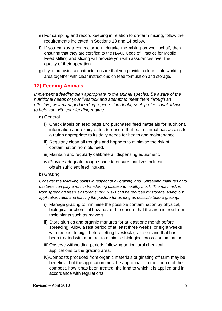- e) For sampling and record keeping in relation to on-farm mixing, follow the requirements indicated in Sections 13 and 14 below.
- f) If you employ a contractor to undertake the mixing on your behalf, then ensuring that they are certified to the NAAC Code of Practice for Mobile Feed Milling and Mixing will provide you with assurances over the quality of their operation.
- g) If you are using a contractor ensure that you provide a clean, safe working area together with clear instructions on feed formulation and storage.

## **12) Feeding Animals**

*Implement a feeding plan appropriate to the animal species. Be aware of the nutritional needs of your livestock and attempt to meet them through an effective, well-managed feeding regime. If in doubt, seek professional advice to help you with your feeding regime.*

- a) General
	- i) Check labels on feed bags and purchased feed materials for nutritional information and expiry dates to ensure that each animal has access to a ration appropriate to its daily needs for health and maintenance.
	- ii) Regularly clean all troughs and hoppers to minimise the risk of contamination from old feed.
	- iii) Maintain and regularly calibrate all dispensing equipment.
	- iv)Provide adequate trough space to ensure that livestock can obtain sufficient feed intakes.
- b) Grazing

*Consider the following points in respect of all grazing land. Spreading manures onto pastures can play a role in transferring disease to healthy stock. The main risk is from spreading fresh, unstored slurry. Risks can be reduced by storage, using low application rates and leaving the pasture for as long as possible before grazing.*

- i) Manage grazing to minimise the possible contamination by physical, biological or chemical hazards and to ensure that the area is free from toxic plants such as ragwort.
- ii) Store slurries and organic manures for at least one month before spreading. Allow a rest period of at least three weeks, or eight weeks with respect to pigs, before letting livestock graze on land that has been treated with manure, to minimise biological cross contamination.
- iii) Observe withholding periods following agricultural chemical applications to the grazing area.
- iv)Composts produced from organic materials originating off farm may be beneficial but the application must be appropriate to the source of the compost, how it has been treated, the land to which it is applied and in accordance with regulations.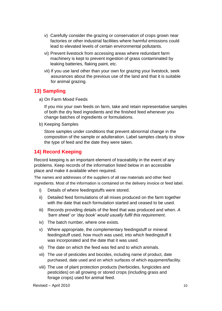- v) Carefully consider the grazing or conservation of crops grown near factories or other industrial facilities where harmful emissions could lead to elevated levels of certain environmental pollutants.
- vi) Prevent livestock from accessing areas where redundant farm machinery is kept to prevent ingestion of grass contaminated by leaking batteries, flaking paint, etc.
- vii) If you use land other than your own for grazing your livestock, seek assurances about the previous use of the land and that it is suitable for animal grazing.

#### **13) Sampling**

a) On Farm Mixed Feeds

If you mix your own feeds on farm, take and retain representative samples of both the dry feed ingredients and the finished feed whenever you change batches of ingredients or formulations.

b) Keeping Samples

Store samples under conditions that prevent abnormal change in the composition of the sample or adulteration. Label samples clearly to show the type of feed and the date they were taken.

## **14) Record Keeping**

Record keeping is an important element of traceability in the event of any problems. Keep records of the information listed below in an accessible place and make it available when required.

The names and addresses of the suppliers of all raw materials and other feed ingredients. Most of the information is contained on the delivery invoice or feed label.

- i) Details of where feedingstuffs were stored.
- ii) Detailed feed formulations of all mixes produced on the farm together with the date that each formulation started and ceased to be used.
- iii) Records providing details of the feed that was produced and when. *A 'barn sheet' or 'day book' would usually fulfil this requirement*.
- iv) The batch number, where one exists.
- v) Where appropriate, the complementary feedingstuff or mineral feedingstuff used, how much was used, into which feedingstuff it was incorporated and the date that it was used.
- vi) The date on which the feed was fed and to which animals.
- vii) The use of pesticides and biocides, including name of product, date purchased, date used and on which surfaces of which equipment/facility.
- viii) The use of plant protection products (herbicides, fungicides and pesticides) on all growing or stored crops (including grass and forage crops) used for animal feed.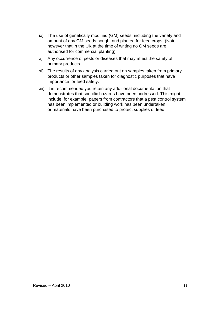- ix) The use of genetically modified (GM) seeds, including the variety and amount of any GM seeds bought and planted for feed crops. (Note however that in the UK at the time of writing no GM seeds are authorised for commercial planting).
- x) Any occurrence of pests or diseases that may affect the safety of primary products.
- xi) The results of any analysis carried out on samples taken from primary products or other samples taken for diagnostic purposes that have importance for feed safety.
- xii) It is recommended you retain any additional documentation that demonstrates that specific hazards have been addressed. This might include, for example, papers from contractors that a pest control system has been implemented or building work has been undertaken or materials have been purchased to protect supplies of feed.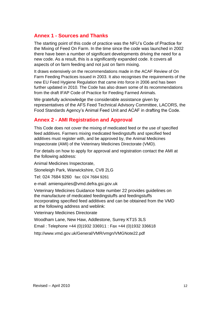## **Annex 1 - Sources and Thanks**

The starting point of this code of practice was the NFU's Code of Practice for the Mixing of Feed On Farm. In the time since the code was launched in 2002 there have been a number of significant developments driving the need for a new code. As a result, this is a significantly expanded code. It covers all aspects of on farm feeding and not just on farm mixing.

It draws extensively on the recommendations made in the ACAF Review of On Farm Feeding Practices issued in 2003. It also recognises the requirements of the new EU Feed Hygiene Regulation that came into force in 2006 and has been further updated in 2010. The Code has also drawn some of its recommendations from the draft IFAP Code of Practice for Feeding Farmed Animals.

We gratefully acknowledge the considerable assistance given by representatives of the AFS Feed Technical Advisory Committee, LACORS, the Food Standards Agency's Animal Feed Unit and ACAF in drafting the Code.

## **Annex 2 - AMI Registration and Approval**

This Code does not cover the mixing of medicated feed or the use of specified feed additives. Farmers mixing medicated feedingstuffs and specified feed additives must register with, and be approved by, the Animal Medicines Inspectorate (AMI) of the Veterinary Medicines Directorate (VMD).

For details on how to apply for approval and registration contact the AMI at the following address:

Animal Medicines Inspectorate,

Stoneleigh Park, Warwickshire, CV8 2LG

Tel: 024 7684 9260 fax: 024 7684 9261

e-mail: amienquiries@vmd.defra.gsi.gov.uk

Veterinary Medicines Guidance Note number 22 provides guidelines on the manufacture of medicated feedingstuffs and feedingstuffs incorporating specified feed additives and can be obtained from the VMD at the following address and weblink:

Veterinary Medicines Directorate

Woodham Lane, New Haw, Addlestone, Surrey KT15 3LS

Email : Telephone +44 (0)1932 336911 : Fax +44 (0)1932 336618

http://www.vmd.gov.uk/General/VMR/vmgn/VMGNote22.pdf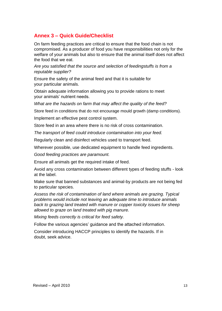## **Annex 3 – Quick Guide/Checklist**

On farm feeding practices are critical to ensure that the food chain is not compromised. As a producer of food you have responsibilities not only for the welfare of your animals but also to ensure that the animal itself does not affect the food that we eat.

*Are you satisfied that the source and selection of feedingstuffs is from a reputable supplier?*

Ensure the safety of the animal feed and that it is suitable for your particular animals.

Obtain adequate information allowing you to provide rations to meet your animals' nutrient needs.

*What are the hazards on farm that may affect the quality of the feed?*

Store feed in conditions that do not encourage mould growth (damp conditions).

Implement an effective pest control system.

Store feed in an area where there is no risk of cross contamination.

*The transport of feed could introduce contamination into your feed.*

Regularly clean and disinfect vehicles used to transport feed.

Wherever possible, use dedicated equipment to handle feed ingredients.

*Good feeding practices are paramount.*

Ensure all animals get the required intake of feed.

Avoid any cross contamination between different types of feeding stuffs - look at the label.

Make sure that banned substances and animal-by products are not being fed to particular species.

*Assess the risk of contamination of land where animals are grazing. Typical problems would include not leaving an adequate time to introduce animals back to grazing land treated with manure or copper toxicity issues for sheep allowed to graze on land treated with pig manure.*

*Mixing feeds correctly is critical for feed safety.*

Follow the various agencies' guidance and the attached information.

Consider introducing HACCP principles to identify the hazards. If in doubt, seek advice.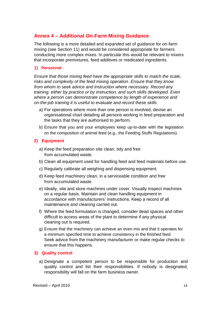## **Annex 4 – Additional On-Farm Mixing Guidance**

The following is a more detailed and expanded set of guidance for on-farm mixing (see Section 11) and would be considered appropriate for farmers conducting more complex mixes. In particular this would be relevant to mixers that incorporate premixtures, feed additives or medicated ingredients.

#### **1) Personnel**

*Ensure that those mixing feed have the appropriate skills to match the scale, risks and complexity of the feed mixing operation. Ensure that they know from whom to seek advice and instruction where necessary. Record any training, either by practice or by instruction, and such skills developed. Even where a person can demonstrate competence by length of experience and on-the-job training it is useful to evaluate and record these skills.*

- a) For operations where more than one person is involved, devise an organisational chart detailing all persons working in feed preparation and the tasks that they are authorised to perform.
- b) Ensure that you and your employees keep up-to-date with the legislation on the composition of animal feed (e.g., the Feeding Stuffs Regulations).

#### **2) Equipment**

- a) Keep the feed preparation site clean, tidy and free from accumulated waste.
- b) Clean all equipment used for handling feed and feed materials before use.
- c) Regularly calibrate all weighing and dispensing equipment.
- d) Keep feed machinery clean, in a serviceable condition and free from accumulated waste.
- e) Ideally, site and store machines under cover. Visually inspect machines on a regular basis. Maintain and clean handling equipment in accordance with manufacturers' instructions. Keep a record of all maintenance and cleaning carried out.
- f) Where the feed formulation is changed, consider dead spaces and other difficult to access areas of the plant to determine if any physical cleaning out is required.
- g) Ensure that the machinery can achieve an even mix and that it operates for a minimum specified time to achieve consistency in the finished feed. Seek advice from the machinery manufacturer or make regular checks to ensure that this happens.

#### **3) Quality control**

a) Designate a competent person to be responsible for production and quality control and list their responsibilities. If nobody is designated, responsibility will fall on the farm business owner.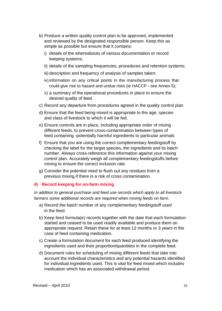- b) Produce a written quality control plan to be approved, implemented and reviewed by the designated responsible person. Keep this as simple as possible but ensure that it contains:
	- i) details of the whereabouts of various documentation or record keeping systems;
	- ii) details of the sampling frequencies, procedures and retention systems;
	- iii) description and frequency of analysis of samples taken;
	- iv) information on any critical points in the manufacturing process that could give rise to hazard and undue risks (ie HACCP - see Annex 5);
	- v) a summary of the operational procedures in place to ensure the desired quality of feed.
- c) Record any departure from procedures agreed in the quality control plan
- d) Ensure that the feed being mixed is appropriate to the age, species and class of livestock to which it will be fed.
- e) Ensure controls are in place, including appropriate order of mixing different feeds, to prevent cross-contamination between types of feed containing -potentially harmful ingredients to particular animals
- f) Ensure that you are using the correct complementary feedingstuff by checking the label for the target species, the ingredients and its batch number. Always cross-reference this information against your mixing control plan. Accurately weigh all complementary feedingstuffs before mixing to ensure the correct inclusion rate.
- g) Consider the potential need to flush out any residues from a previous mixing if there is a risk of cross contamination.

#### **4) Record keeping for on-farm mixing**

*In addition to general purchase and feed use records which apply to all livestock farmers some additional records are required when mixing feeds on farm.*

- a) Record the batch number of any complementary feedingstuff used in the feed.
- b) Keep feed formula(e) records together with the date that each formulation started and ceased to be used readily available and produce them on appropriate request. Retain these for at least 12 months or 3 years in the case of feed containing medication.
- c) Create a formulation document for each feed produced identifying the ingredients used and their proportion/quantities in the complete feed.
- d) Document rules for scheduling of mixing different feeds that take into account the individual characteristics and any potential hazards identified for individual ingredients used. This is vital for feed mixed which includes medication which has an associated withdrawal period.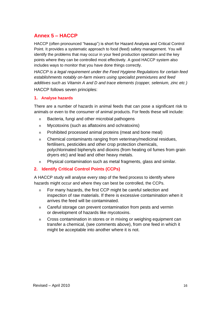# **Annex 5 – HACCP**

HACCP (often pronounced "hassup") is short for Hazard Analysis and Critical Control Point. It provides a systematic approach to food (feed) safety management. You will identify the problems that may occur in your feed production operation and the key points where they can be controlled most effectively. A good HACCP system also includes ways to monitor that you have done things correctly.

*HACCP is a legal requirement under the Feed Hygiene Regulations for certain feed establishments notably on-farm mixers using specialist premixtures and feed additives such as Vitamin A and D and trace elements (copper, selenium, zinc etc )*

HACCP follows seven principles:

#### **1. Analyse hazards**

There are a number of hazards in animal feeds that can pose a significant risk to animals or even to the consumer of animal products. For feeds these will include:

- n Bacteria, fungi and other microbial pathogens
- n Mycotoxins (such as aflatoxins and ochratoxins)
- n Prohibited processed animal proteins (meat and bone meal)
- n Chemical contaminants ranging from veterinary/medicinal residues, fertilisers, pesticides and other crop protection chemicals, polychlorinated biphenyls and dioxins (from heating oil fumes from grain dryers etc) and lead and other heavy metals.
- n Physical contamination such as metal fragments, glass and similar.

#### **2. Identify Critical Control Points (CCPs)**

A HACCP study will analyse every step of the feed process to identify where hazards might occur and where they can best be controlled, the CCPs.

- n For many hazards, the first CCP might be careful selection and inspection of raw materials. If there is excessive contamination when it arrives the feed will be contaminated.
- n Careful storage can prevent contamination from pests and vermin or development of hazards like mycotoxins.
- n Cross contamination in stores or in mixing or weighing equipment can transfer a chemical, (see comments above), from one feed in which it might be acceptable into another where it is not.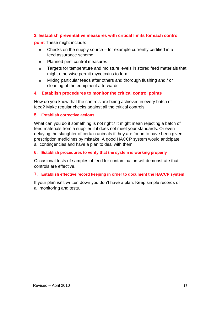#### **3. Establish preventative measures with critical limits for each control**

**point** These might include:

- n Checks on the supply source for example currently certified in a feed assurance scheme
- n Planned pest control measures
- n Targets for temperature and moisture levels in stored feed materials that might otherwise permit mycotoxins to form.
- n Mixing particular feeds after others and thorough flushing and / or cleaning of the equipment afterwards

#### **4. Establish procedures to monitor the critical control points**

How do you know that the controls are being achieved in every batch of feed? Make regular checks against all the critical controls.

#### **5. Establish corrective actions**

What can you do if something is not right? It might mean rejecting a batch of feed materials from a supplier if it does not meet your standards. Or even delaying the slaughter of certain animals if they are found to have been given prescription medicines by mistake. A good HACCP system would anticipate all contingencies and have a plan to deal with them.

#### **6. Establish procedures to verify that the system is working properly**

Occasional tests of samples of feed for contamination will demonstrate that controls are effective.

#### **7. Establish effective record keeping in order to document the HACCP system**

If your plan isn't written down you don't have a plan. Keep simple records of all monitoring and tests.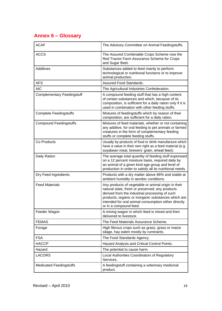# **Annex 6 – Glossary**

| <b>ACAF</b>                       | The Advisory Committee on Animal Feedingstuffs.                                                                                                                                                                                                                                                   |
|-----------------------------------|---------------------------------------------------------------------------------------------------------------------------------------------------------------------------------------------------------------------------------------------------------------------------------------------------|
| <b>ACCS</b>                       | The Assured Combinable Crops Scheme now the<br>Red Tractor Farm Assurance Scheme for Crops<br>and Sugar Beet.                                                                                                                                                                                     |
| Additives                         | Substances added to feed mainly to perform<br>technological or nutritional functions or to improve<br>animal production.                                                                                                                                                                          |
| <b>AFS</b>                        | Assured Food Standards.                                                                                                                                                                                                                                                                           |
| <b>AIC</b>                        | The Agricultural Industries Confederation.                                                                                                                                                                                                                                                        |
| <b>Complementary Feedingstuff</b> | A compound feeding stuff that has a high content<br>of certain substances and which, because of its<br>composition, is sufficient for a daily ration only if it is<br>used in combination with other feeding stuffs.                                                                              |
| <b>Complete Feedingstuffs</b>     | Mixtures of feedingstuffs which by reason of their<br>composition, are sufficient for a daily ration.                                                                                                                                                                                             |
| <b>Compound Feedingstuffs</b>     | Mixtures of feed materials, whether or not containing<br>any additive, for oral feeding to pet animals or farmed<br>creatures in the form of complementary feeding<br>stuffs or complete feeding stuffs.                                                                                          |
| Co Products                       | Usually by-products of food or drink manufacture which<br>have a value in their own right as a feed material (e.g.<br>soyabean meal, brewers' grain, wheat feed).                                                                                                                                 |
| Daily Ration                      | The average total quantity of feeding stuff expressed<br>on a 12 percent moisture basis, required daily by<br>an animal of a given kind age group and level of<br>production in order to satisfy all its nutritional needs.                                                                       |
| Dry Feed Ingredients              | Products with a dry matter above 86% and stable at<br>ambient humidity in aerobic conditions.                                                                                                                                                                                                     |
| <b>Feed Materials</b>             | Any products of vegetable or animal origin in their<br>natural state, fresh or preserved; any products<br>derived from the industrial processing of such<br>products; organic or inorganic substances which are<br>intended for oral animal consumption either directly<br>or in a compound feed. |
| Feeder Wagon                      | A mixing wagon in which feed is mixed and then<br>delivered to livestock.                                                                                                                                                                                                                         |
| <b>FEMAS</b>                      | The Feed Materials Assurance Scheme.                                                                                                                                                                                                                                                              |
| Forage                            | High fibrous crops such as grass, grass or maize<br>silage, hay eaten mostly by ruminants.                                                                                                                                                                                                        |
| <b>FSA</b>                        | The Food Standards Agency.                                                                                                                                                                                                                                                                        |
| <b>HACCP</b>                      | Hazard Analysis and Critical Control Points.                                                                                                                                                                                                                                                      |
| Hazard                            | The potential to cause harm.                                                                                                                                                                                                                                                                      |
| <b>LACORS</b>                     | Local Authorities Coordinators of Regulatory<br>Services.                                                                                                                                                                                                                                         |
| <b>Medicated Feedingstuffs</b>    | A feedingstuff containing a veterinary medicinal<br>product.                                                                                                                                                                                                                                      |